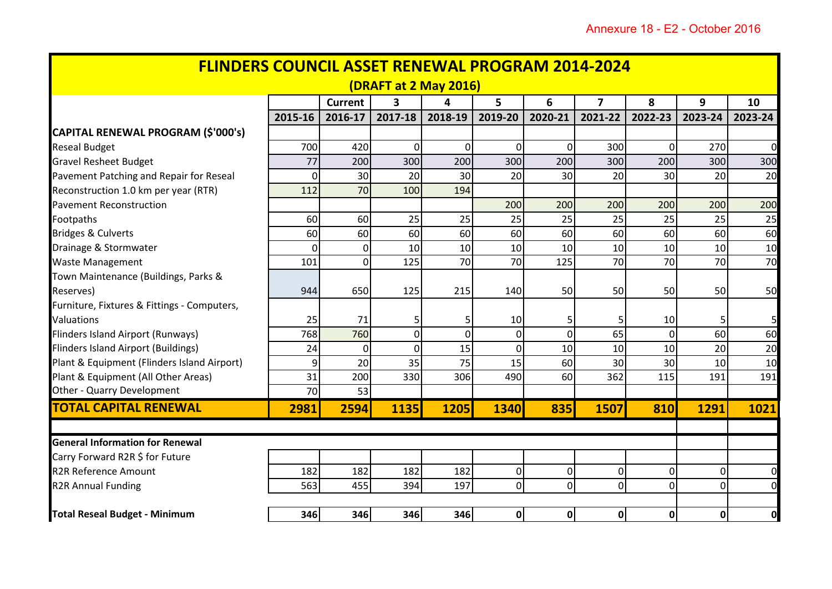| <b>FLINDERS COUNCIL ASSET RENEWAL PROGRAM 2014-2024</b><br>(DRAFT at 2 May 2016) |                |                |                |                |                 |                |                 |                 |                |                |
|----------------------------------------------------------------------------------|----------------|----------------|----------------|----------------|-----------------|----------------|-----------------|-----------------|----------------|----------------|
|                                                                                  |                |                |                |                |                 |                |                 |                 |                |                |
|                                                                                  | 2015-16        | 2016-17        | 2017-18        | 2018-19        | 2019-20         | 2020-21        | 2021-22         | 2022-23         | 2023-24        | 2023-24        |
| CAPITAL RENEWAL PROGRAM (\$'000's)                                               |                |                |                |                |                 |                |                 |                 |                |                |
| <b>Reseal Budget</b>                                                             | 700            | 420            | $\Omega$       | $\overline{0}$ | 0               | $\mathbf 0$    | 300             | $\Omega$        | 270            | $\overline{0}$ |
| <b>Gravel Resheet Budget</b>                                                     | 77             | 200            | 300            | 200            | 300             | 200            | 300             | 200             | 300            | 300            |
| Pavement Patching and Repair for Reseal                                          | 0              | 30             | 20             | 30             | 20              | 30             | 20              | 30              | 20             | 20             |
| Reconstruction 1.0 km per year (RTR)                                             | 112            | 70             | 100            | 194            |                 |                |                 |                 |                |                |
| <b>Pavement Reconstruction</b>                                                   |                |                |                |                | 200             | 200            | 200             | 200             | 200            | 200            |
| Footpaths                                                                        | 60             | 60             | 25             | 25             | 25              | 25             | 25              | 25              | 25             | 25             |
| <b>Bridges &amp; Culverts</b>                                                    | 60             | 60             | 60             | 60             | 60              | 60             | 60              | 60              | 60             | 60             |
| Drainage & Stormwater                                                            | $\mathbf 0$    | 0              | 10             | 10             | 10 <sup>1</sup> | 10             | 10 <sup>1</sup> | 10              | 10             | 10             |
| <b>Waste Management</b>                                                          | 101            | $\overline{0}$ | 125            | 70             | 70              | 125            | 70              | 70              | 70             | 70             |
| Town Maintenance (Buildings, Parks &                                             |                |                |                |                |                 |                |                 |                 |                |                |
| Reserves)                                                                        | 944            | 650            | 125            | 215            | 140             | 50             | 50              | 50              | 50             | 50             |
| Furniture, Fixtures & Fittings - Computers,                                      |                |                |                |                |                 |                |                 |                 |                |                |
| Valuations                                                                       | 25             | 71             | 5              | 5              | 10              | 5              | -5              | 10              | 5              | 5              |
| Flinders Island Airport (Runways)                                                | 768            | 760            | $\overline{0}$ | $\overline{0}$ | 0               | $\overline{0}$ | 65              | Οl              | 60             | 60             |
| <b>Flinders Island Airport (Buildings)</b>                                       | 24             | $\Omega$       | $\Omega$       | 15             | $\overline{0}$  | 10             | 10              | 10 <sup>1</sup> | 20             | 20             |
| Plant & Equipment (Flinders Island Airport)                                      | $\overline{9}$ | 20             | 35             | 75             | 15              | 60             | 30              | 30              | 10             | 10             |
| Plant & Equipment (All Other Areas)                                              | 31             | 200            | 330            | 306            | 490             | 60             | 362             | 115             | 191            | 191            |
| Other - Quarry Development                                                       | 70             | 53             |                |                |                 |                |                 |                 |                |                |
| <b>TOTAL CAPITAL RENEWAL</b>                                                     | 2981           | 2594           | 1135           | 1205           | <b>1340</b>     | 835            | 1507            | 810             | 1291           | 1021           |
|                                                                                  |                |                |                |                |                 |                |                 |                 |                |                |
| <b>General Information for Renewal</b>                                           |                |                |                |                |                 |                |                 |                 |                |                |
| Carry Forward R2R \$ for Future                                                  |                |                |                |                |                 |                |                 |                 |                |                |
| <b>R2R Reference Amount</b>                                                      | 182            | 182            | 182            | 182            | 0               | $\pmb{0}$      | $\Omega$        | $\overline{0}$  | $\overline{0}$ | $\overline{0}$ |
| <b>R2R Annual Funding</b>                                                        | 563            | 455            | 394            | 197            | $\overline{0}$  | $\mathbf 0$    | $\overline{0}$  | 0               | $\overline{0}$ | $\overline{0}$ |
| <b>Total Reseal Budget - Minimum</b>                                             | 346            | 346            | 346            | 346            | 0               | $\mathbf{0}$   | 0               | 0               | $\mathbf{0}$   | $\mathbf 0$    |